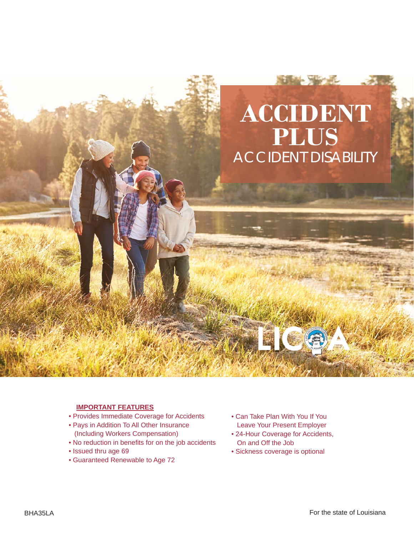

#### **IMPORTANT FEATURES**

- Provides Immediate Coverage for Accidents
- Pays in Addition To All Other Insurance (Including Workers Compensation)
- No reduction in benefits for on the job accidents
- Issued thru age 69
- Guaranteed Renewable to Age 72
- Can Take Plan With You If You Leave Your Present Employer
- 24-Hour Coverage for Accidents, On and Off the Job
- Sickness coverage is optional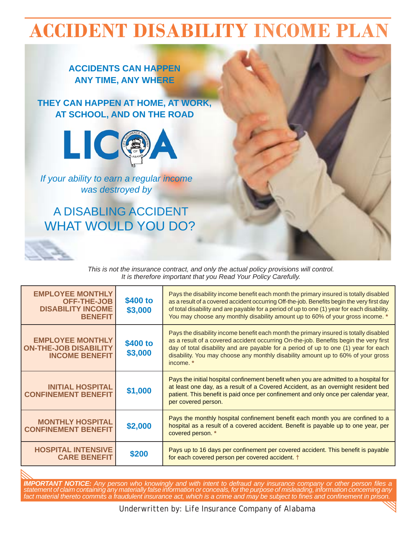# **ACCIDENT DISABILITY INCOME PLAN**

# **ACCIDENTS CAN HAPPEN ANY TIME, ANY WHERE**

# **THEY CAN HAPPEN AT HOME, AT WORK, AT SCHOOL, AND ON THE ROAD**



*If your ability to earn a regular income was destroyed by*

# WHAT WOULD YOU DO? A DISABLING ACCIDENT

*This is not the insurance contract, and only the actual policy provisions will control. It is therefore important that you Read Your Policy Carefully.*

| <b>EMPLOYEE MONTHLY</b><br><b>OFF-THE-JOB</b><br><b>DISABILITY INCOME</b><br><b>BENEFIT</b> | \$400 to<br>\$3,000 | Pays the disability income benefit each month the primary insured is totally disabled<br>as a result of a covered accident occurring Off-the-job. Benefits begin the very first day<br>of total disability and are payable for a period of up to one (1) year for each disability.<br>You may choose any monthly disability amount up to 60% of your gross income. *   |
|---------------------------------------------------------------------------------------------|---------------------|------------------------------------------------------------------------------------------------------------------------------------------------------------------------------------------------------------------------------------------------------------------------------------------------------------------------------------------------------------------------|
| <b>EMPLOYEE MONTHLY</b><br><b>ON-THE-JOB DISABILITY</b><br><b>INCOME BENEFIT</b>            | \$400 to<br>\$3,000 | Pays the disability income benefit each month the primary insured is totally disabled<br>as a result of a covered accident occurring On-the-job. Benefits begin the very first<br>day of total disability and are payable for a period of up to one (1) year for each<br>disability. You may choose any monthly disability amount up to 60% of your gross<br>income. * |
| <b>INITIAL HOSPITAL</b><br><b>CONFINEMENT BENEFIT</b>                                       | \$1,000             | Pays the initial hospital confinement benefit when you are admitted to a hospital for<br>at least one day, as a result of a Covered Accident, as an overnight resident bed<br>patient. This benefit is paid once per confinement and only once per calendar year,<br>per covered person.                                                                               |
| <b>MONTHLY HOSPITAL</b><br><b>CONFINEMENT BENEFIT</b>                                       | \$2,000             | Pays the monthly hospital confinement benefit each month you are confined to a<br>hospital as a result of a covered accident. Benefit is payable up to one year, per<br>covered person. *                                                                                                                                                                              |
| <b>HOSPITAL INTENSIVE</b><br><b>CARE BENEFIT</b>                                            | \$200               | Pays up to 16 days per confinement per covered accident. This benefit is payable<br>for each covered person per covered accident. †                                                                                                                                                                                                                                    |

*IMPORTANT NOTICE: Any person who knowingly and with intent to defraud any insurance company or other person files a statement of claim containing any materially false information or conceals, for the purpose of misleading, information concerning any fact material thereto commits a fraudulent insurance act, which is a crime and may be subject to fi nes and confi nement in prison.*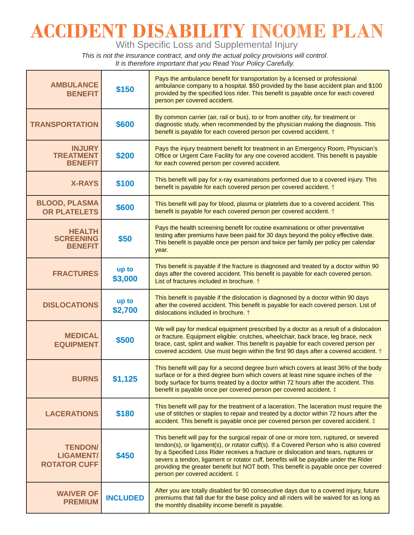# **ACCIDENT DISABILITY INCOME PLAN**

With Specific Loss and Supplemental Injury

*This is not the insurance contract, and only the actual policy provisions will control. It is therefore important that you Read Your Policy Carefully.*

| <b>AMBULANCE</b><br><b>BENEFIT</b>                        | \$150            | Pays the ambulance benefit for transportation by a licensed or professional<br>ambulance company to a hospital. \$50 provided by the base accident plan and \$100<br>provided by the specified loss rider. This benefit is payable once for each covered<br>person per covered accident.                                                                                                                                                                                                  |  |
|-----------------------------------------------------------|------------------|-------------------------------------------------------------------------------------------------------------------------------------------------------------------------------------------------------------------------------------------------------------------------------------------------------------------------------------------------------------------------------------------------------------------------------------------------------------------------------------------|--|
| <b>TRANSPORTATION</b>                                     | \$600            | By common carrier (air, rail or bus), to or from another city, for treatment or<br>diagnostic study, when recommended by the physician making the diagnosis. This<br>benefit is payable for each covered person per covered accident. †                                                                                                                                                                                                                                                   |  |
| <b>INJURY</b><br><b>TREATMENT</b><br><b>BENEFIT</b>       | \$200            | Pays the injury treatment benefit for treatment in an Emergency Room, Physician's<br>Office or Urgent Care Facility for any one covered accident. This benefit is payable<br>for each covered person per covered accident.                                                                                                                                                                                                                                                                |  |
| <b>X-RAYS</b>                                             | \$100            | This benefit will pay for x-ray examinations performed due to a covered injury. This<br>benefit is payable for each covered person per covered accident. †                                                                                                                                                                                                                                                                                                                                |  |
| <b>BLOOD, PLASMA</b><br><b>OR PLATELETS</b>               | \$600            | This benefit will pay for blood, plasma or platelets due to a covered accident. This<br>benefit is payable for each covered person per covered accident. †                                                                                                                                                                                                                                                                                                                                |  |
| <b>HEALTH</b><br><b>SCREENING</b><br><b>BENEFIT</b>       | \$50             | Pays the health screening benefit for routine examinations or other preventative<br>testing after premiums have been paid for 30 days beyond the policy effective date.<br>This benefit is payable once per person and twice per family per policy per calendar<br>year.                                                                                                                                                                                                                  |  |
| <b>FRACTURES</b>                                          | up to<br>\$3,000 | This benefit is payable if the fracture is diagnosed and treated by a doctor within 90<br>days after the covered accident. This benefit is payable for each covered person.<br>List of fractures included in brochure. †                                                                                                                                                                                                                                                                  |  |
| <b>DISLOCATIONS</b>                                       | up to<br>\$2,700 | This benefit is payable if the dislocation is diagnosed by a doctor within 90 days<br>after the covered accident. This benefit is payable for each covered person. List of<br>dislocations included in brochure. †                                                                                                                                                                                                                                                                        |  |
| <b>MEDICAL</b><br><b>EQUIPMENT</b>                        | \$500            | We will pay for medical equipment prescribed by a doctor as a result of a dislocation<br>or fracture. Equipment eligible: crutches, wheelchair, back brace, leg brace, neck<br>brace, cast, splint and walker. This benefit is payable for each covered person per<br>covered accident. Use must begin within the first 90 days after a covered accident. †                                                                                                                               |  |
| <b>BURNS</b>                                              | \$1,125          | This benefit will pay for a second degree burn which covers at least 36% of the body<br>surface or for a third degree burn which covers at least nine square inches of the<br>body surface for burns treated by a doctor within 72 hours after the accident. This<br>benefit is payable once per covered person per covered accident. $\ddagger$                                                                                                                                          |  |
| <b>LACERATIONS</b>                                        | \$180            | This benefit will pay for the treatment of a laceration. The laceration must require the<br>use of stitches or staples to repair and treated by a doctor within 72 hours after the<br>accident. This benefit is payable once per covered person per covered accident. $\ddagger$                                                                                                                                                                                                          |  |
| <b>TENDON/</b><br><b>LIGAMENT/</b><br><b>ROTATOR CUFF</b> | \$450            | This benefit will pay for the surgical repair of one or more torn, ruptured, or severed<br>tendon(s), or ligament(s), or rotator cuff(s). If a Covered Person who is also covered<br>by a Specified Loss Rider receives a fracture or dislocation and tears, ruptures or<br>severs a tendon, ligament or rotator cuff, benefits will be payable under the Rider<br>providing the greater benefit but NOT both. This benefit is payable once per covered<br>person per covered accident. ‡ |  |
| <b>WAIVER OF</b><br><b>PREMIUM</b>                        | <b>INCLUDED</b>  | After you are totally disabled for 90 consecutive days due to a covered injury, future<br>premiums that fall due for the base policy and all riders will be waived for as long as<br>the monthly disability income benefit is payable.                                                                                                                                                                                                                                                    |  |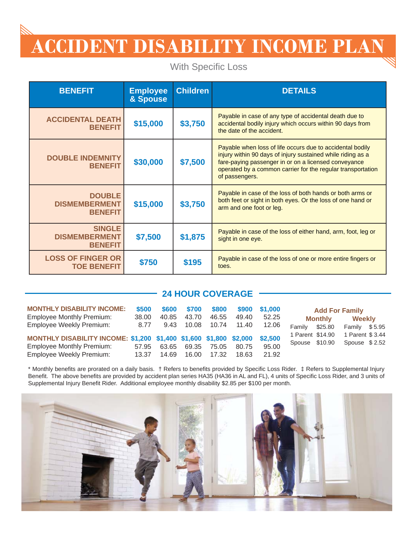# **ACCIDENT DISABILITY INCOME PLAN**

With Specific Loss

| <b>BENEFIT</b>                                          | <b>Employee</b><br>& Spouse | <b>Children</b> | <b>DETAILS</b>                                                                                                                                                                                                                                                    |
|---------------------------------------------------------|-----------------------------|-----------------|-------------------------------------------------------------------------------------------------------------------------------------------------------------------------------------------------------------------------------------------------------------------|
| <b>ACCIDENTAL DEATH</b><br><b>BENEFIT</b>               | \$15,000                    | \$3,750         | Payable in case of any type of accidental death due to<br>accidental bodily injury which occurs within 90 days from<br>the date of the accident.                                                                                                                  |
| <b>DOUBLE INDEMNITY</b><br><b>BENEFIT</b>               | \$30,000                    | \$7,500         | Payable when loss of life occurs due to accidental bodily<br>injury within 90 days of injury sustained while riding as a<br>fare-paying passenger in or on a licensed conveyance<br>operated by a common carrier for the regular transportation<br>of passengers. |
| <b>DOUBLE</b><br><b>DISMEMBERMENT</b><br><b>BENEFIT</b> | \$15,000                    | \$3,750         | Payable in case of the loss of both hands or both arms or<br>both feet or sight in both eyes. Or the loss of one hand or<br>arm and one foot or leg.                                                                                                              |
| <b>SINGLE</b><br><b>DISMEMBERMENT</b><br><b>BENEFIT</b> | \$7,500                     | \$1,875         | Payable in case of the loss of either hand, arm, foot, leg or<br>sight in one eye.                                                                                                                                                                                |
| <b>LOSS OF FINGER OR</b><br><b>TOE BENEFIT</b>          | \$750                       | \$195           | Payable in case of the loss of one or more entire fingers or<br>toes.                                                                                                                                                                                             |

## **24 HOUR COVERAGE**

| <b>MONTHLY DISABILITY INCOME:</b><br><b>Employee Monthly Premium:</b> | \$500<br>38.00 | \$600<br>40.85 | \$700<br>43.70 | \$800<br>46.55      | \$900<br>49.40 | \$1.000<br>52.25 | <b>Add For Family</b><br>Weekly<br><b>Monthly</b> |         |                                  |  |
|-----------------------------------------------------------------------|----------------|----------------|----------------|---------------------|----------------|------------------|---------------------------------------------------|---------|----------------------------------|--|
| Employee Weekly Premium:                                              | 8.77           | 9.43           |                | 10.08  10.74  11.40 |                | 12.06            | Family<br>1 Parent \$14.90                        | \$25.80 | Family \$5.95<br>1 Parent \$3.44 |  |
| MONTHLY DISABILITY INCOME: \$1,200 \$1,400 \$1,600 \$1,800 \$2,000    |                |                |                |                     |                | \$2,500          | Spouse \$10.90                                    |         | Spouse $$2.52$                   |  |
| <b>Employee Monthly Premium:</b>                                      | 57.95          | 63.65          |                | 69.35 75.05         | 80.75          | 95.00            |                                                   |         |                                  |  |
| Employee Weekly Premium:                                              | 13.37          | 14.69          | 16.00          | 17.32               | 18.63          | 21.92            |                                                   |         |                                  |  |

\* Monthly benefits are prorated on a daily basis. † Refers to benefits provided by Specific Loss Rider. ‡ Refers to Supplemental Injury Benefit. The above benefits are provided by accident plan series HA35 (HA36 in AL and FL), 4 units of Specific Loss Rider, and 3 units of Supplemental Injury Benefit Rider. Additional employee monthly disability \$2.85 per \$100 per month.

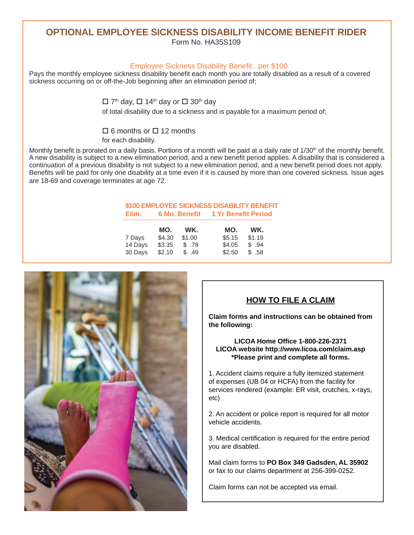# **OPTIONAL EMPLOYEE SICKNESS DISABILITY INCOME BENEFIT RIDER**

Form No. HA35S109

#### Employee Sickness Disability Benefit...per \$100

Pays the monthly employee sickness disability benefit each month you are totally disabled as a result of a covered sickness occurring on or off-the-Job beginning after an elimination period of;

 $\Box$  7<sup>th</sup> day,  $\Box$  14<sup>th</sup> day or  $\Box$  30<sup>th</sup> day

of total disability due to a sickness and is payable for a maximum period of;

### $\Box$  6 months or  $\Box$  12 months

for each disability.

Monthly benefit is prorated on a daily basis. Portions of a month will be paid at a daily rate of 1/30<sup>th</sup> of the monthly benefit. A new disability is subject to a new elimination period, and a new benefit period applies. A disability that is considered a continuation of a previous disability is not subject to a new elimination period, and a new benefit period does not apply. Benefits will be paid for only one disability at a time even if it is caused by more than one covered sickness. Issue ages are 18-69 and coverage terminates at age 72.

#### **\$100 EMPLOYEE SICKNESS DISABILITY BENEFIT Elim. 6 Mo. Benefi t 1 Yr Benefi t Period**

|         | MO.    | WK.    | MO.    | WK.    |
|---------|--------|--------|--------|--------|
| 7 Days  | \$4.30 | \$1.00 | \$5.15 | \$1.19 |
| 14 Days | \$3.35 | \$.78  | \$4.05 | \$.94  |
| 30 Days | \$2.10 | \$.49  | \$2.50 | \$ .58 |



## **HOW TO FILE A CLAIM**

**Claim forms and instructions can be obtained from the following:**

#### **LICOA Home Offi ce 1-800-226-2371 LICOA website http://www.licoa.com/claim.asp \*Please print and complete all forms.**

1. Accident claims require a fully itemized statement of expenses (UB 04 or HCFA) from the facility for services rendered (example: ER visit, crutches, x-rays, etc)

2. An accident or police report is required for all motor vehicle accidents.

3. Medical certification is required for the entire period you are disabled.

Mail claim forms to **PO Box 349 Gadsden, AL 35902**  or fax to our claims department at 256-399-0252.

Claim forms can not be accepted via email.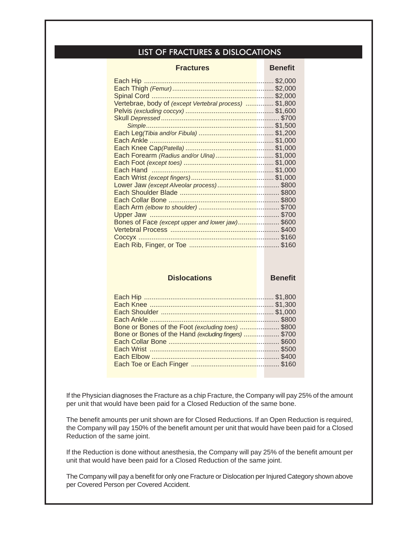### LIST OF FRACTURES & DISLOCATIONS

| <b>Fractures</b>                                       | <b>Benefit</b> |
|--------------------------------------------------------|----------------|
|                                                        |                |
|                                                        |                |
|                                                        |                |
| Vertebrae, body of (except Vertebral process)  \$1,800 |                |
|                                                        |                |
|                                                        |                |
|                                                        |                |
|                                                        |                |
|                                                        |                |
|                                                        |                |
| Each Forearm (Radius and/or Ulna)\$1,000               |                |
|                                                        |                |
|                                                        |                |
|                                                        |                |
|                                                        |                |
|                                                        |                |
|                                                        |                |
|                                                        |                |
|                                                        |                |
| Bones of Face (except upper and lower jaw) \$600       |                |
|                                                        |                |
|                                                        |                |
|                                                        |                |

#### **Dislocations Benefit**

| Bone or Bones of the Foot (excluding toes) \$800<br>Bone or Bones of the Hand (excluding fingers) \$700 |  |
|---------------------------------------------------------------------------------------------------------|--|
|                                                                                                         |  |
|                                                                                                         |  |

If the Physician diagnoses the Fracture as a chip Fracture, the Company will pay 25% of the amount per unit that would have been paid for a Closed Reduction of the same bone.

The benefit amounts per unit shown are for Closed Reductions. If an Open Reduction is required, the Company will pay 150% of the benefit amount per unit that would have been paid for a Closed Reduction of the same joint.

If the Reduction is done without anesthesia, the Company will pay 25% of the benefit amount per unit that would have been paid for a Closed Reduction of the same joint.

The Company will pay a benefit for only one Fracture or Dislocation per Injured Category shown above per Covered Person per Covered Accident.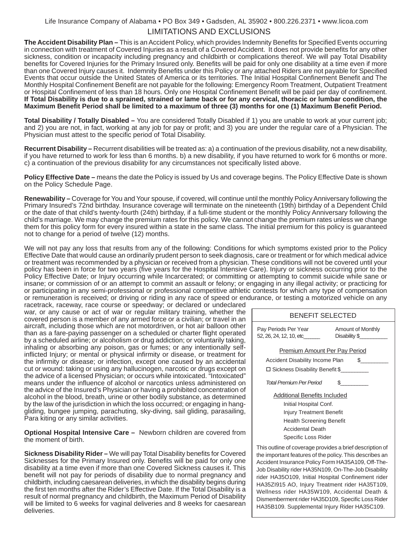#### LIMITATIONS AND EXCLUSIONS Life Insurance Company of Alabama • PO Box 349 • Gadsden, AL 35902 • 800.226.2371 • www.licoa.com

**The Accident Disability Plan –** This is an Accident Policy, which provides Indemnity Benefits for Specified Events occurring in connection with treatment of Covered Injuries as a result of a Covered Accident. It does not provide benefits for any other sickness, condition or incapacity including pregnancy and childbirth or complications thereof. We will pay Total Disability benefits for Covered Injuries for the Primary Insured only. Benefits will be paid for only one disability at a time even if more than one Covered Injury causes it. Indemnity Benefits under this Policy or any attached Riders are not payable for Specified Events that occur outside the United States of America or its territories. The Initial Hospital Confinement Benefit and The Monthly Hospital Confinement Benefit are not payable for the following: Emergency Room Treatment, Outpatient Treatment or Hospital Confinement of less than 18 hours. Only one Hospital Confinement Benefit will be paid per day of confinement. **If Total Disability is due to a sprained, strained or lame back or for any cervical, thoracic or lumbar condition, the Maximum Benefi t Period shall be limited to a maximum of three (3) months for one (1) Maximum Benefi t Period.**

**Total Disability / Totally Disabled –** You are considered Totally Disabled if 1) you are unable to work at your current job; and 2) you are not, in fact, working at any job for pay or profit; and 3) you are under the regular care of a Physician. The Physician must attest to the specific period of Total Disability.

**Recurrent Disability –** Recurrent disabilities will be treated as: a) a continuation of the previous disability, not a new disability, if you have returned to work for less than 6 months. b) a new disability, if you have returned to work for 6 months or more. c) a continuation of the previous disability for any circumstances not specifically listed above.

**Policy Effective Date –** means the date the Policy is issued by Us and coverage begins. The Policy Effective Date is shown on the Policy Schedule Page.

**Renewability –** Coverage for You and Your spouse, if covered, will continue until the monthly Policy Anniversary following the Primary Insured's 72nd birthday. Insurance coverage will terminate on the nineteenth (19th) birthday of a Dependent Child or the date of that child's twenty-fourth (24th) birthday, if a full-time student or the monthly Policy Anniversary following the child's marriage. We may change the premium rates for this policy. We cannot change the premium rates unless we change them for this policy form for every insured within a state in the same class. The initial premium for this policy is guaranteed not to change for a period of twelve (12) months.

We will not pay any loss that results from any of the following: Conditions for which symptoms existed prior to the Policy Effective Date that would cause an ordinarily prudent person to seek diagnosis, care or treatment or for which medical advice or treatment was recommended by a physician or received from a physician. These conditions will not be covered until your policy has been in force for two years (five years for the Hospital Intensive Care). Injury or sickness occurring prior to the Policy Effective Date; or Injury occurring while Incarcerated; or committing or attempting to commit suicide while sane or insane; or commission of or an attempt to commit an assault or felony; or engaging in any illegal activity; or practicing for or participating in any semi-professional or professional competitive athletic contests for which any type of compensation or remuneration is received; or driving or riding in any race of speed or endurance, or testing a motorized vehicle on any

racetrack, raceway, race course or speedway; or declared or undeclared war, or any cause or act of war or regular military training, whether the covered person is a member of any armed force or a civilian; or travel in an aircraft, including those which are not motordriven, or hot air balloon other than as a fare-paying passenger on a scheduled or charter flight operated by a scheduled airline; or alcoholism or drug addiction; or voluntarily taking, inhaling or absorbing any poison, gas or fumes; or any intentionally selfinflicted Injury; or mental or physical infirmity or disease, or treatment for the infirmity or disease; or infection, except one caused by an accidental cut or wound: taking or using any hallucinogen, narcotic or drugs except on the advice of a licensed Physician; or occurs while intoxicated. "Intoxicated" means under the influence of alcohol or narcotics unless administered on the advice of the Insured's Physician or having a prohibited concentration of alcohol in the blood, breath, urine or other bodily substance, as determined by the law of the jurisdiction in which the loss occurred; or engaging in hanggliding, bungee jumping, parachuting, sky-diving, sail gliding, parasailing, Para kiting or any similar activities.

**Optional Hospital Intensive Care –** Newborn children are covered from the moment of birth.

**Sickness Disability Rider –** We will pay Total Disability benefits for Covered Sicknesses for the Primary Insured only. Benefits will be paid for only one disability at a time even if more than one Covered Sickness causes it. This benefit will not pay for periods of disability due to normal pregnancy and childbirth, including caesarean deliveries, in which the disability begins during the first ten months after the Rider's Effective Date. If the Total Disability is a result of normal pregnancy and childbirth, the Maximum Period of Disability will be limited to 6 weeks for vaginal deliveries and 8 weeks for caesarean deliveries.

| <b>BENEFIT SELECTED</b>                                                                                                                                                                                                                                                                                            |           |  |  |  |
|--------------------------------------------------------------------------------------------------------------------------------------------------------------------------------------------------------------------------------------------------------------------------------------------------------------------|-----------|--|--|--|
| Pay Periods Per Year<br>Amount of Monthly<br>52, 26, 24, 12, 10, etc<br>Disability \$                                                                                                                                                                                                                              |           |  |  |  |
| Premium Amount Per Pay Period<br>Accident Disability Income Plan<br>□ Sickness Disability Benefit \$<br>Total Premium Per Period<br>Additional Benefits Included<br>Initial Hospital Conf.<br><b>Injury Treatment Benefit</b><br><b>Health Screening Benefit</b><br><b>Accidental Death</b><br>Specific Loss Rider | SS.<br>ደ. |  |  |  |
|                                                                                                                                                                                                                                                                                                                    |           |  |  |  |

This outline of coverage provides a brief description of the important features of the policy. This describes an Accident Insurance Policy Form HA35A109, Off-The-Job Disability rider HA35N109, On-The-Job Disability rider HA35O109, Initial Hospital Confinement rider HA35ZI915 AO, Injury Treatment rider HA35T109, Wellness rider HA35W109, Accidental Death & Dismemberment rider HA35D109, Specific Loss Rider HA35B109. Supplemental Injury Rider HA35C109.